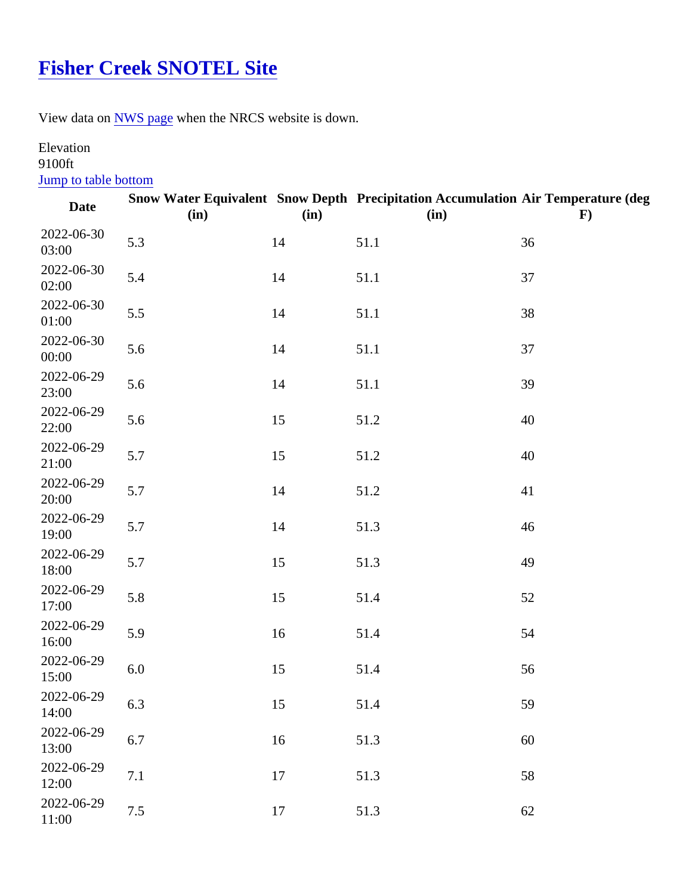## [Fisher Creek SNOTEL Site](https://www.mtavalanche.com/weather/stations/fisher-creek)

View data o[n NWS page](http://www.wrh.noaa.gov/mesowest/getobext.php?wfo=mso&sid=FSHM8&num=168&raw=0&dbn=m)when the NRCS website is down.

## Elevation 9100ft

## **Jump to table bottom**

| Date                | (in) | (in) | Snow Water Equivalent Snow Depth Precipitation Accumulation Air Temperature (deg<br>(in) | F) |
|---------------------|------|------|------------------------------------------------------------------------------------------|----|
| 2022-06-30<br>03:00 | 5.3  | 14   | 51.1                                                                                     | 36 |
| 2022-06-30<br>02:00 | 5.4  | 14   | 51.1                                                                                     | 37 |
| 2022-06-30<br>01:00 | 5.5  | 14   | 51.1                                                                                     | 38 |
| 2022-06-30<br>00:00 | 5.6  | 14   | 51.1                                                                                     | 37 |
| 2022-06-29<br>23:00 | 5.6  | 14   | 51.1                                                                                     | 39 |
| 2022-06-29<br>22:00 | 5.6  | 15   | 51.2                                                                                     | 40 |
| 2022-06-29<br>21:00 | 5.7  | 15   | 51.2                                                                                     | 40 |
| 2022-06-29<br>20:00 | 5.7  | 14   | 51.2                                                                                     | 41 |
| 2022-06-29<br>19:00 | 5.7  | 14   | 51.3                                                                                     | 46 |
| 2022-06-29<br>18:00 | 5.7  | 15   | 51.3                                                                                     | 49 |
| 2022-06-29<br>17:00 | 5.8  | 15   | 51.4                                                                                     | 52 |
| 2022-06-29<br>16:00 | 5.9  | 16   | 51.4                                                                                     | 54 |
| 2022-06-29<br>15:00 | 6.0  | 15   | 51.4                                                                                     | 56 |
| 2022-06-29<br>14:00 | 6.3  | 15   | 51.4                                                                                     | 59 |
| 2022-06-29<br>13:00 | 6.7  | 16   | 51.3                                                                                     | 60 |
| 2022-06-29<br>12:00 | 7.1  | 17   | 51.3                                                                                     | 58 |
| 2022-06-29<br>11:00 | 7.5  | 17   | 51.3                                                                                     | 62 |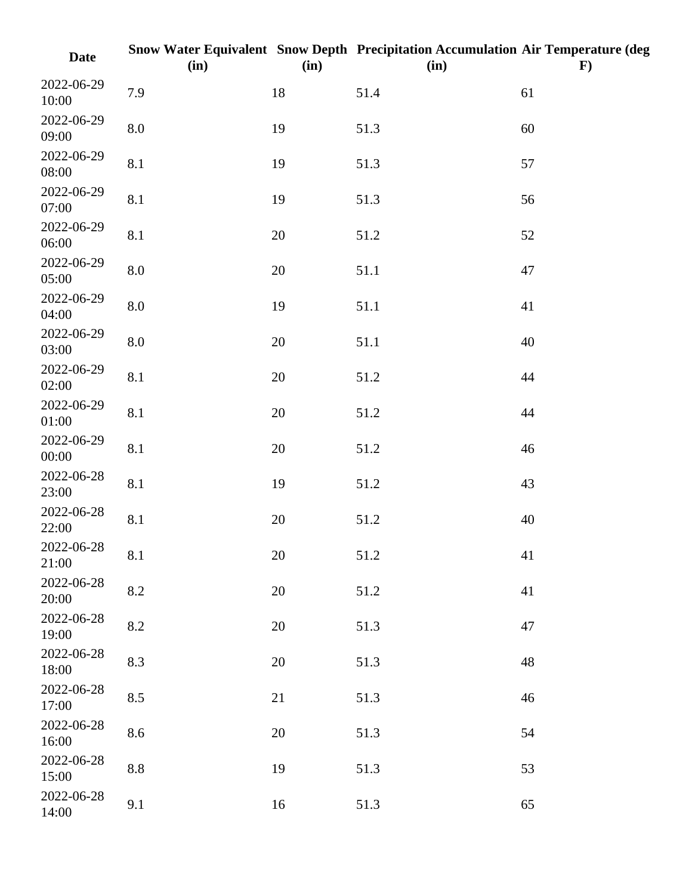| <b>Date</b>         | (in)      | (in)   | Snow Water Equivalent Snow Depth Precipitation Accumulation Air Temperature (deg<br>(in) | $\mathbf{F}$ |
|---------------------|-----------|--------|------------------------------------------------------------------------------------------|--------------|
| 2022-06-29<br>10:00 | 7.9       | 18     | 51.4                                                                                     | 61           |
| 2022-06-29<br>09:00 | $\rm 8.0$ | 19     | 51.3                                                                                     | 60           |
| 2022-06-29<br>08:00 | 8.1       | 19     | 51.3                                                                                     | 57           |
| 2022-06-29<br>07:00 | 8.1       | 19     | 51.3                                                                                     | 56           |
| 2022-06-29<br>06:00 | 8.1       | 20     | 51.2                                                                                     | 52           |
| 2022-06-29<br>05:00 | 8.0       | 20     | 51.1                                                                                     | 47           |
| 2022-06-29<br>04:00 | 8.0       | 19     | 51.1                                                                                     | 41           |
| 2022-06-29<br>03:00 | $\rm 8.0$ | 20     | 51.1                                                                                     | 40           |
| 2022-06-29<br>02:00 | 8.1       | 20     | 51.2                                                                                     | 44           |
| 2022-06-29<br>01:00 | 8.1       | 20     | 51.2                                                                                     | 44           |
| 2022-06-29<br>00:00 | 8.1       | 20     | 51.2                                                                                     | 46           |
| 2022-06-28<br>23:00 | 8.1       | 19     | 51.2                                                                                     | 43           |
| 2022-06-28<br>22:00 | 8.1       | 20     | 51.2                                                                                     | 40           |
| 2022-06-28<br>21:00 | 8.1       | 20     | 51.2                                                                                     | 41           |
| 2022-06-28<br>20:00 | 8.2       | $20\,$ | 51.2                                                                                     | 41           |
| 2022-06-28<br>19:00 | 8.2       | 20     | 51.3                                                                                     | 47           |
| 2022-06-28<br>18:00 | 8.3       | 20     | 51.3                                                                                     | 48           |
| 2022-06-28<br>17:00 | 8.5       | 21     | 51.3                                                                                     | 46           |
| 2022-06-28<br>16:00 | 8.6       | 20     | 51.3                                                                                     | 54           |
| 2022-06-28<br>15:00 | 8.8       | 19     | 51.3                                                                                     | 53           |
| 2022-06-28<br>14:00 | 9.1       | 16     | 51.3                                                                                     | 65           |